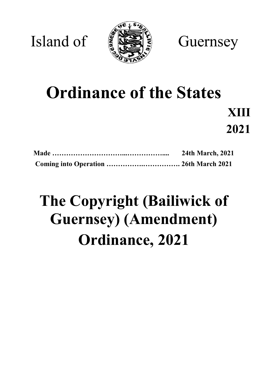

Island of  $\left( \frac{1}{2} \right)$ 

# **Ordinance of the States**

**XIII 2021**

| <b>24th March, 2021</b> |  |
|-------------------------|--|
|                         |  |

## **The Copyright (Bailiwick of Guernsey) (Amendment) Ordinance, 2021**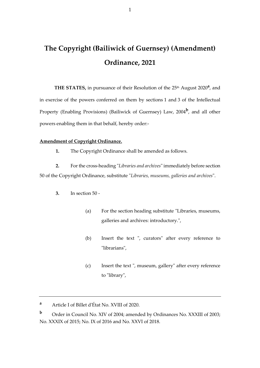### **The Copyright (Bailiwick of Guernsey) (Amendment) Ordinance, 2021**

THE STATES, in pursuance of their Resolution of the 25<sup>th</sup> August 2020<sup>a</sup>, and in exercise of the powers conferred on them by sections 1 and 3 of the Intellectual Property (Enabling Provisions) (Bailiwick of Guernsey) Law, 2004**<sup>b</sup>** , and all other powers enabling them in that behalf, hereby order:-

#### **Amendment of Copyright Ordinance.**

**1.** The Copyright Ordinance shall be amended as follows.

**2.** For the cross-heading "*Libraries and archives*"immediately before section 50 of the Copyright Ordinance, substitute "*Libraries, museums, galleries and archives*".

- **3.** In section 50
	- (a) For the section heading substitute "Libraries, museums, galleries and archives: introductory.",
	- (b) Insert the text ", curators" after every reference to "librarians",
	- (c) Insert the text ", museum, gallery" after every reference to "library",

**<sup>a</sup>** Article I of Billet d'État No. XVIII of 2020.

**<sup>b</sup>** Order in Council No. XIV of 2004; amended by Ordinances No. XXXIII of 2003; No. XXXIX of 2015; No. IX of 2016 and No. XXVI of 2018.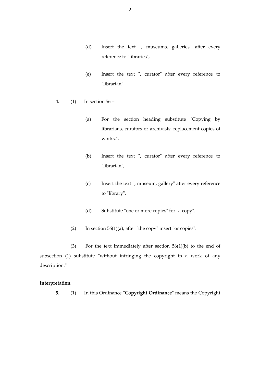- (d) Insert the text ", museums, galleries" after every reference to "libraries",
- (e) Insert the text ", curator" after every reference to "librarian".
- **4.** (1) In section 56
	- (a) For the section heading substitute "Copying by librarians, curators or archivists: replacement copies of works.",
	- (b) Insert the text ", curator" after every reference to "librarian",
	- (c) Insert the text ", museum, gallery" after every reference to "library",
	- (d) Substitute "one or more copies" for "a copy".
	- (2) In section  $56(1)(a)$ , after "the copy" insert "or copies".

(3) For the text immediately after section 56(1)(b) to the end of subsection (1) substitute "without infringing the copyright in a work of any description."

#### **Interpretation.**

**5.** (1) In this Ordinance "**Copyright Ordinance**" means the Copyright